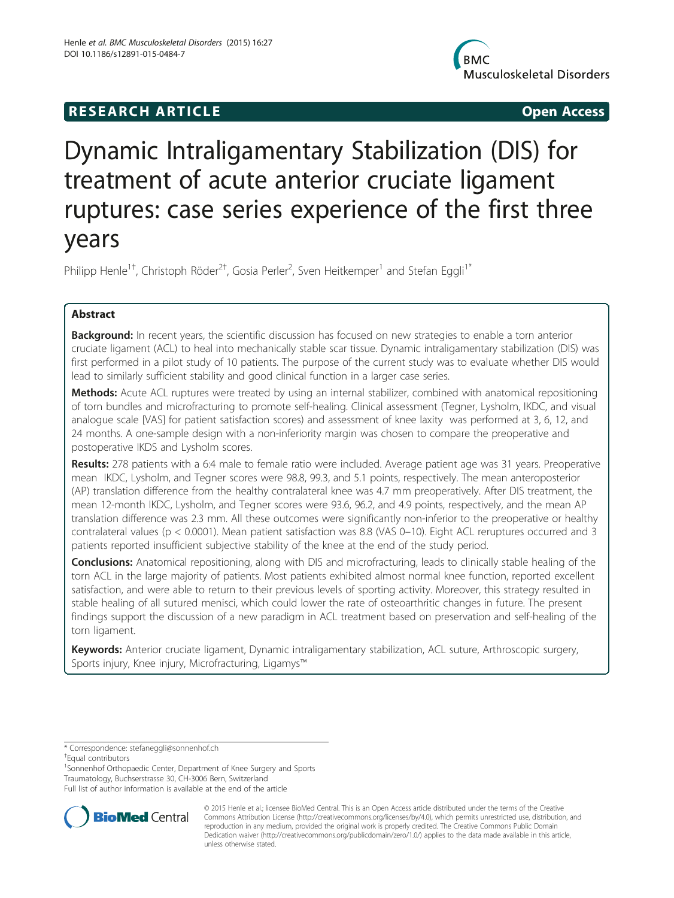## **RESEARCH ARTICLE Example 2018 12:00 Open Access**



# Dynamic Intraligamentary Stabilization (DIS) for treatment of acute anterior cruciate ligament ruptures: case series experience of the first three years

Philipp Henle<sup>1†</sup>, Christoph Röder<sup>2†</sup>, Gosia Perler<sup>2</sup>, Sven Heitkemper<sup>1</sup> and Stefan Eggli<sup>1\*</sup>

### Abstract

Background: In recent years, the scientific discussion has focused on new strategies to enable a torn anterior cruciate ligament (ACL) to heal into mechanically stable scar tissue. Dynamic intraligamentary stabilization (DIS) was first performed in a pilot study of 10 patients. The purpose of the current study was to evaluate whether DIS would lead to similarly sufficient stability and good clinical function in a larger case series.

Methods: Acute ACL ruptures were treated by using an internal stabilizer, combined with anatomical repositioning of torn bundles and microfracturing to promote self-healing. Clinical assessment (Tegner, Lysholm, IKDC, and visual analogue scale [VAS] for patient satisfaction scores) and assessment of knee laxity was performed at 3, 6, 12, and 24 months. A one-sample design with a non-inferiority margin was chosen to compare the preoperative and postoperative IKDS and Lysholm scores.

Results: 278 patients with a 6:4 male to female ratio were included. Average patient age was 31 years. Preoperative mean IKDC, Lysholm, and Tegner scores were 98.8, 99.3, and 5.1 points, respectively. The mean anteroposterior (AP) translation difference from the healthy contralateral knee was 4.7 mm preoperatively. After DIS treatment, the mean 12-month IKDC, Lysholm, and Tegner scores were 93.6, 96.2, and 4.9 points, respectively, and the mean AP translation difference was 2.3 mm. All these outcomes were significantly non-inferior to the preoperative or healthy contralateral values (p < 0.0001). Mean patient satisfaction was 8.8 (VAS 0–10). Eight ACL reruptures occurred and 3 patients reported insufficient subjective stability of the knee at the end of the study period.

**Conclusions:** Anatomical repositioning, along with DIS and microfracturing, leads to clinically stable healing of the torn ACL in the large majority of patients. Most patients exhibited almost normal knee function, reported excellent satisfaction, and were able to return to their previous levels of sporting activity. Moreover, this strategy resulted in stable healing of all sutured menisci, which could lower the rate of osteoarthritic changes in future. The present findings support the discussion of a new paradigm in ACL treatment based on preservation and self-healing of the torn ligament.

Keywords: Anterior cruciate ligament, Dynamic intraligamentary stabilization, ACL suture, Arthroscopic surgery, Sports injury, Knee injury, Microfracturing, Ligamys™

\* Correspondence: [stefaneggli@sonnenhof.ch](mailto:stefaneggli@sonnenhof.ch) †

Equal contributors

<sup>1</sup>Sonnenhof Orthopaedic Center, Department of Knee Surgery and Sports Traumatology, Buchserstrasse 30, CH-3006 Bern, Switzerland

Full list of author information is available at the end of the article



© 2015 Henle et al.; licensee BioMed Central. This is an Open Access article distributed under the terms of the Creative Commons Attribution License [\(http://creativecommons.org/licenses/by/4.0\)](http://creativecommons.org/licenses/by/4.0), which permits unrestricted use, distribution, and reproduction in any medium, provided the original work is properly credited. The Creative Commons Public Domain Dedication waiver [\(http://creativecommons.org/publicdomain/zero/1.0/](http://creativecommons.org/publicdomain/zero/1.0/)) applies to the data made available in this article, unless otherwise stated.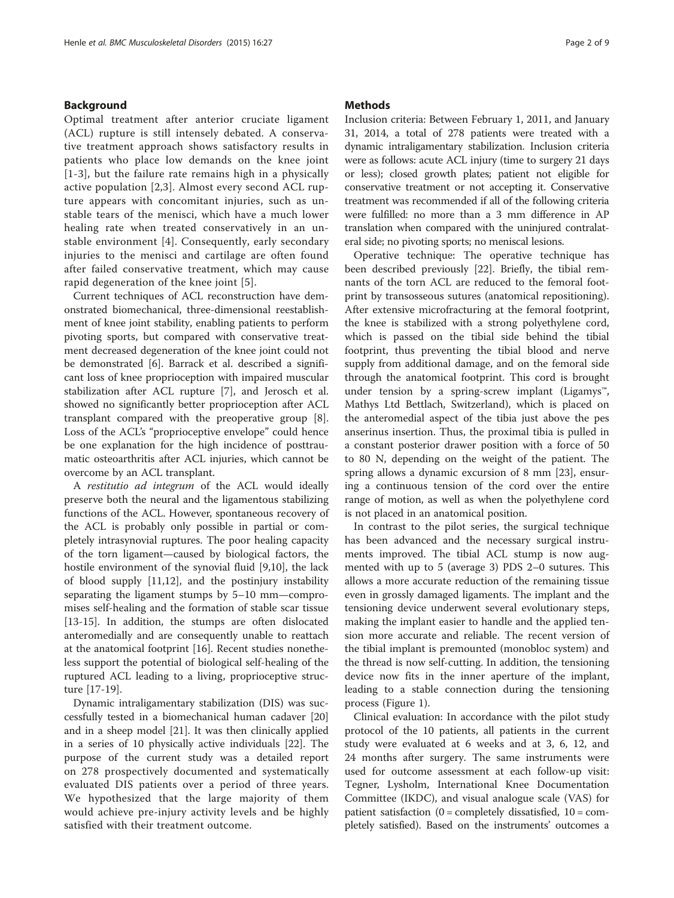#### Background

Optimal treatment after anterior cruciate ligament (ACL) rupture is still intensely debated. A conservative treatment approach shows satisfactory results in patients who place low demands on the knee joint [[1](#page-7-0)-[3](#page-7-0)], but the failure rate remains high in a physically active population [[2,3](#page-7-0)]. Almost every second ACL rupture appears with concomitant injuries, such as unstable tears of the menisci, which have a much lower healing rate when treated conservatively in an unstable environment [[4](#page-7-0)]. Consequently, early secondary injuries to the menisci and cartilage are often found after failed conservative treatment, which may cause rapid degeneration of the knee joint [[5](#page-7-0)].

Current techniques of ACL reconstruction have demonstrated biomechanical, three-dimensional reestablishment of knee joint stability, enabling patients to perform pivoting sports, but compared with conservative treatment decreased degeneration of the knee joint could not be demonstrated [\[6](#page-7-0)]. Barrack et al. described a significant loss of knee proprioception with impaired muscular stabilization after ACL rupture [\[7](#page-7-0)], and Jerosch et al. showed no significantly better proprioception after ACL transplant compared with the preoperative group [\[8](#page-7-0)]. Loss of the ACL's "proprioceptive envelope" could hence be one explanation for the high incidence of posttraumatic osteoarthritis after ACL injuries, which cannot be overcome by an ACL transplant.

A restitutio ad integrum of the ACL would ideally preserve both the neural and the ligamentous stabilizing functions of the ACL. However, spontaneous recovery of the ACL is probably only possible in partial or completely intrasynovial ruptures. The poor healing capacity of the torn ligament—caused by biological factors, the hostile environment of the synovial fluid [\[9,10](#page-7-0)], the lack of blood supply [[11](#page-7-0),[12](#page-7-0)], and the postinjury instability separating the ligament stumps by 5–10 mm—compromises self-healing and the formation of stable scar tissue [[13-15](#page-7-0)]. In addition, the stumps are often dislocated anteromedially and are consequently unable to reattach at the anatomical footprint [\[16](#page-7-0)]. Recent studies nonetheless support the potential of biological self-healing of the ruptured ACL leading to a living, proprioceptive structure [\[17](#page-7-0)-[19\]](#page-7-0).

Dynamic intraligamentary stabilization (DIS) was successfully tested in a biomechanical human cadaver [[20](#page-7-0)] and in a sheep model [\[21\]](#page-7-0). It was then clinically applied in a series of 10 physically active individuals [[22\]](#page-7-0). The purpose of the current study was a detailed report on 278 prospectively documented and systematically evaluated DIS patients over a period of three years. We hypothesized that the large majority of them would achieve pre-injury activity levels and be highly satisfied with their treatment outcome.

#### **Methods**

Inclusion criteria: Between February 1, 2011, and January 31, 2014, a total of 278 patients were treated with a dynamic intraligamentary stabilization. Inclusion criteria were as follows: acute ACL injury (time to surgery 21 days or less); closed growth plates; patient not eligible for conservative treatment or not accepting it. Conservative treatment was recommended if all of the following criteria were fulfilled: no more than a 3 mm difference in AP translation when compared with the uninjured contralateral side; no pivoting sports; no meniscal lesions.

Operative technique: The operative technique has been described previously [\[22](#page-7-0)]. Briefly, the tibial remnants of the torn ACL are reduced to the femoral footprint by transosseous sutures (anatomical repositioning). After extensive microfracturing at the femoral footprint, the knee is stabilized with a strong polyethylene cord, which is passed on the tibial side behind the tibial footprint, thus preventing the tibial blood and nerve supply from additional damage, and on the femoral side through the anatomical footprint. This cord is brought under tension by a spring-screw implant (Ligamys™, Mathys Ltd Bettlach, Switzerland), which is placed on the anteromedial aspect of the tibia just above the pes anserinus insertion. Thus, the proximal tibia is pulled in a constant posterior drawer position with a force of 50 to 80 N, depending on the weight of the patient. The spring allows a dynamic excursion of 8 mm [[23\]](#page-7-0), ensuring a continuous tension of the cord over the entire range of motion, as well as when the polyethylene cord is not placed in an anatomical position.

In contrast to the pilot series, the surgical technique has been advanced and the necessary surgical instruments improved. The tibial ACL stump is now augmented with up to 5 (average 3) PDS 2–0 sutures. This allows a more accurate reduction of the remaining tissue even in grossly damaged ligaments. The implant and the tensioning device underwent several evolutionary steps, making the implant easier to handle and the applied tension more accurate and reliable. The recent version of the tibial implant is premounted (monobloc system) and the thread is now self-cutting. In addition, the tensioning device now fits in the inner aperture of the implant, leading to a stable connection during the tensioning process (Figure [1\)](#page-2-0).

Clinical evaluation: In accordance with the pilot study protocol of the 10 patients, all patients in the current study were evaluated at 6 weeks and at 3, 6, 12, and 24 months after surgery. The same instruments were used for outcome assessment at each follow-up visit: Tegner, Lysholm, International Knee Documentation Committee (IKDC), and visual analogue scale (VAS) for patient satisfaction  $(0 = \text{completely dissatisfied}, 10 = \text{com-}$ pletely satisfied). Based on the instruments' outcomes a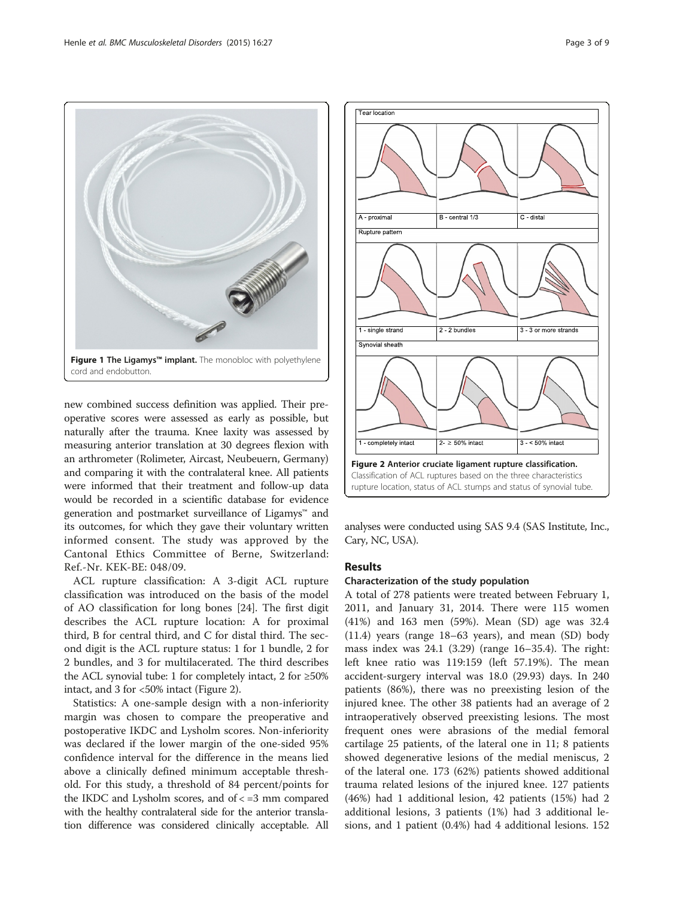<span id="page-2-0"></span>

new combined success definition was applied. Their preoperative scores were assessed as early as possible, but naturally after the trauma. Knee laxity was assessed by measuring anterior translation at 30 degrees flexion with an arthrometer (Rolimeter, Aircast, Neubeuern, Germany) and comparing it with the contralateral knee. All patients were informed that their treatment and follow-up data would be recorded in a scientific database for evidence generation and postmarket surveillance of Ligamys™ and its outcomes, for which they gave their voluntary written informed consent. The study was approved by the Cantonal Ethics Committee of Berne, Switzerland: Ref.-Nr. KEK-BE: 048/09.

ACL rupture classification: A 3-digit ACL rupture classification was introduced on the basis of the model of AO classification for long bones [[24](#page-8-0)]. The first digit describes the ACL rupture location: A for proximal third, B for central third, and C for distal third. The second digit is the ACL rupture status: 1 for 1 bundle, 2 for 2 bundles, and 3 for multilacerated. The third describes the ACL synovial tube: 1 for completely intact, 2 for  $\geq 50\%$ intact, and 3 for <50% intact (Figure 2).

Statistics: A one-sample design with a non-inferiority margin was chosen to compare the preoperative and postoperative IKDC and Lysholm scores. Non-inferiority was declared if the lower margin of the one-sided 95% confidence interval for the difference in the means lied above a clinically defined minimum acceptable threshold. For this study, a threshold of 84 percent/points for the IKDC and Lysholm scores, and of  $\lt$  =3 mm compared with the healthy contralateral side for the anterior translation difference was considered clinically acceptable. All



analyses were conducted using SAS 9.4 (SAS Institute, Inc., Cary, NC, USA).

#### Results

#### Characterization of the study population

A total of 278 patients were treated between February 1, 2011, and January 31, 2014. There were 115 women (41%) and 163 men (59%). Mean (SD) age was 32.4 (11.4) years (range 18–63 years), and mean (SD) body mass index was 24.1 (3.29) (range 16–35.4). The right: left knee ratio was 119:159 (left 57.19%). The mean accident-surgery interval was 18.0 (29.93) days. In 240 patients (86%), there was no preexisting lesion of the injured knee. The other 38 patients had an average of 2 intraoperatively observed preexisting lesions. The most frequent ones were abrasions of the medial femoral cartilage 25 patients, of the lateral one in 11; 8 patients showed degenerative lesions of the medial meniscus, 2 of the lateral one. 173 (62%) patients showed additional trauma related lesions of the injured knee. 127 patients (46%) had 1 additional lesion, 42 patients (15%) had 2 additional lesions, 3 patients (1%) had 3 additional lesions, and 1 patient (0.4%) had 4 additional lesions. 152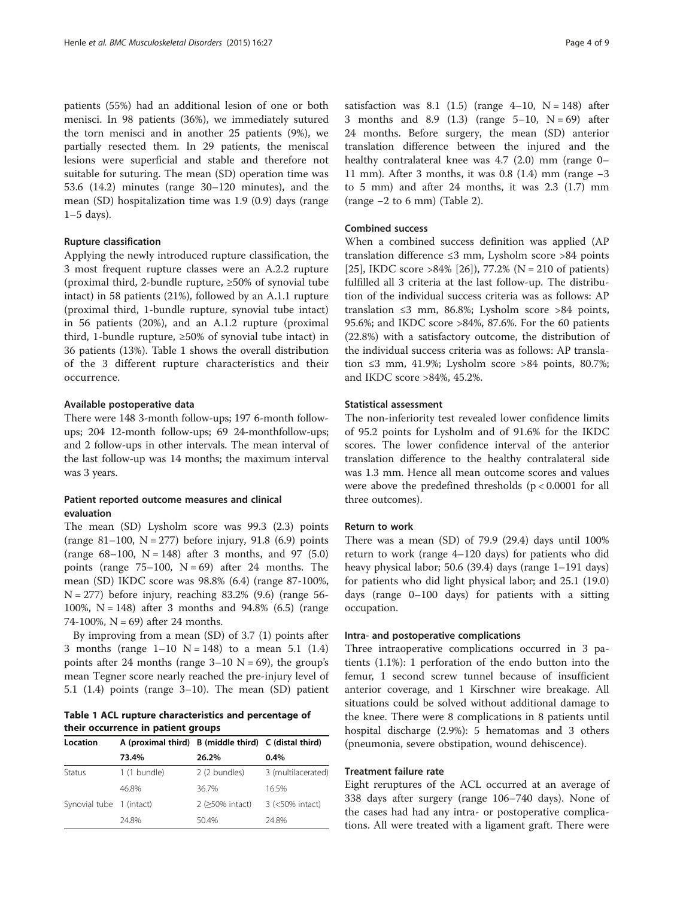patients (55%) had an additional lesion of one or both menisci. In 98 patients (36%), we immediately sutured the torn menisci and in another 25 patients (9%), we partially resected them. In 29 patients, the meniscal lesions were superficial and stable and therefore not suitable for suturing. The mean (SD) operation time was 53.6 (14.2) minutes (range 30–120 minutes), and the mean (SD) hospitalization time was 1.9 (0.9) days (range  $1-5$  days).

#### Rupture classification

Applying the newly introduced rupture classification, the 3 most frequent rupture classes were an A.2.2 rupture (proximal third, 2-bundle rupture, ≥50% of synovial tube intact) in 58 patients (21%), followed by an A.1.1 rupture (proximal third, 1-bundle rupture, synovial tube intact) in 56 patients (20%), and an A.1.2 rupture (proximal third, 1-bundle rupture, ≥50% of synovial tube intact) in 36 patients (13%). Table 1 shows the overall distribution of the 3 different rupture characteristics and their occurrence.

#### Available postoperative data

There were 148 3-month follow-ups; 197 6-month followups; 204 12-month follow-ups; 69 24-monthfollow-ups; and 2 follow-ups in other intervals. The mean interval of the last follow-up was 14 months; the maximum interval was 3 years.

#### Patient reported outcome measures and clinical evaluation

The mean (SD) Lysholm score was 99.3 (2.3) points (range 81–100,  $N = 277$ ) before injury, 91.8 (6.9) points (range  $68-100$ ,  $N = 148$ ) after 3 months, and 97 (5.0) points (range  $75-100$ ,  $N = 69$ ) after 24 months. The mean (SD) IKDC score was 98.8% (6.4) (range 87-100%,  $N = 277$ ) before injury, reaching 83.2% (9.6) (range 56-100%,  $N = 148$ ) after 3 months and 94.8% (6.5) (range 74-100%,  $N = 69$ ) after 24 months.

By improving from a mean (SD) of 3.7 (1) points after 3 months (range  $1-10$  N = 148) to a mean 5.1 (1.4) points after 24 months (range  $3-10$  N = 69), the group's mean Tegner score nearly reached the pre-injury level of 5.1 (1.4) points (range 3–10). The mean (SD) patient

Table 1 ACL rupture characteristics and percentage of their occurrence in patient groups

| Location                 | A (proximal third) B (middle third) C (distal third) |                 | $0.4\%$            |  |
|--------------------------|------------------------------------------------------|-----------------|--------------------|--|
|                          | 73.4%                                                | 26.2%           |                    |  |
| Status                   | 1 (1 bundle)                                         | 2 (2 bundles)   | 3 (multilacerated) |  |
|                          | 46.8%                                                | 36.7%           | 16.5%              |  |
| Synovial tube 1 (intact) |                                                      | 2 (>50% intact) | 3 (<50% intact)    |  |
|                          | 248%                                                 | 50.4%           | 24.8%              |  |

satisfaction was 8.1 (1.5) (range  $4-10$ ,  $N = 148$ ) after 3 months and 8.9 (1.3) (range  $5-10$ ,  $N = 69$ ) after 24 months. Before surgery, the mean (SD) anterior translation difference between the injured and the healthy contralateral knee was 4.7 (2.0) mm (range 0– 11 mm). After 3 months, it was 0.8 (1.4) mm (range −3 to 5 mm) and after 24 months, it was 2.3 (1.7) mm (range −2 to 6 mm) (Table [2\)](#page-4-0).

#### Combined success

When a combined success definition was applied (AP translation difference ≤3 mm, Lysholm score >84 points [[25\]](#page-8-0), IKDC score >84% [[26\]](#page-8-0)), 77.2% (N = 210 of patients) fulfilled all 3 criteria at the last follow-up. The distribution of the individual success criteria was as follows: AP translation  $\leq$ 3 mm, 86.8%; Lysholm score >84 points, 95.6%; and IKDC score >84%, 87.6%. For the 60 patients (22.8%) with a satisfactory outcome, the distribution of the individual success criteria was as follows: AP translation ≤3 mm, 41.9%; Lysholm score >84 points, 80.7%; and IKDC score >84%, 45.2%.

#### Statistical assessment

The non-inferiority test revealed lower confidence limits of 95.2 points for Lysholm and of 91.6% for the IKDC scores. The lower confidence interval of the anterior translation difference to the healthy contralateral side was 1.3 mm. Hence all mean outcome scores and values were above the predefined thresholds  $(p < 0.0001$  for all three outcomes).

#### Return to work

There was a mean (SD) of 79.9 (29.4) days until 100% return to work (range 4–120 days) for patients who did heavy physical labor; 50.6 (39.4) days (range 1–191 days) for patients who did light physical labor; and 25.1 (19.0) days (range 0–100 days) for patients with a sitting occupation.

#### Intra- and postoperative complications

Three intraoperative complications occurred in 3 patients (1.1%): 1 perforation of the endo button into the femur, 1 second screw tunnel because of insufficient anterior coverage, and 1 Kirschner wire breakage. All situations could be solved without additional damage to the knee. There were 8 complications in 8 patients until hospital discharge (2.9%): 5 hematomas and 3 others (pneumonia, severe obstipation, wound dehiscence).

#### Treatment failure rate

Eight reruptures of the ACL occurred at an average of 338 days after surgery (range 106–740 days). None of the cases had had any intra- or postoperative complications. All were treated with a ligament graft. There were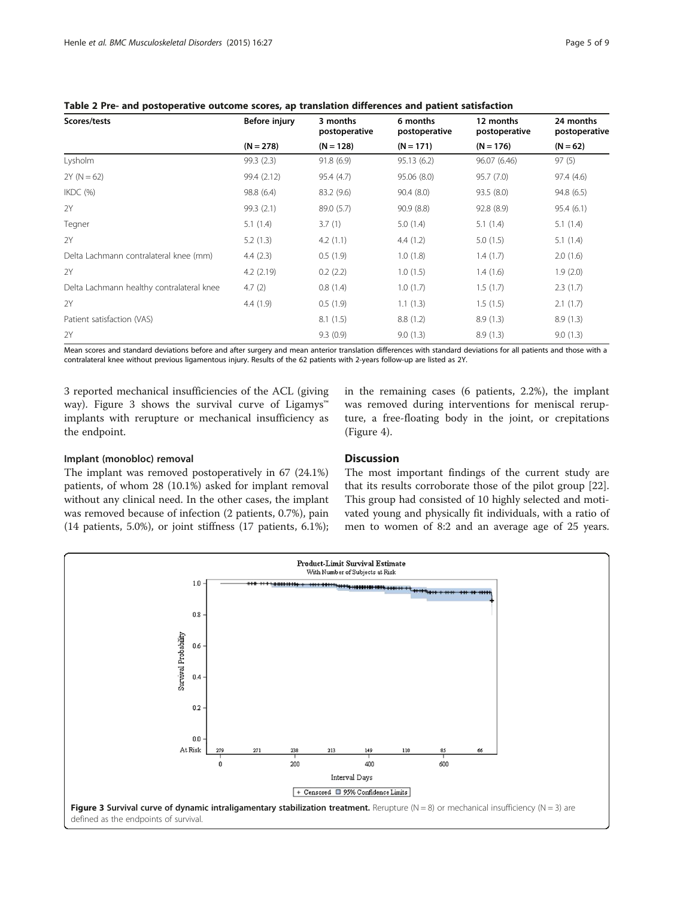| Scores/tests                              | Before injury | 3 months<br>postoperative | 6 months<br>postoperative | 12 months<br>postoperative | 24 months<br>postoperative |
|-------------------------------------------|---------------|---------------------------|---------------------------|----------------------------|----------------------------|
|                                           | $(N = 278)$   | $(N = 128)$               | $(N = 171)$               | $(N = 176)$                | $(N = 62)$                 |
| Lysholm                                   | 99.3 (2.3)    | 91.8(6.9)                 | 95.13(6.2)                | 96.07 (6.46)               | 97(5)                      |
| $2Y (N = 62)$                             | 99.4 (2.12)   | 95.4 (4.7)                | 95.06 (8.0)               | 95.7 (7.0)                 | 97.4 (4.6)                 |
| IKDC(%)                                   | 98.8 (6.4)    | 83.2 (9.6)                | 90.4(8.0)                 | 93.5 (8.0)                 | 94.8(6.5)                  |
| 2Y                                        | 99.3 (2.1)    | 89.0 (5.7)                | 90.9 (8.8)                | 92.8 (8.9)                 | 95.4(6.1)                  |
| Tegner                                    | 5.1(1.4)      | 3.7(1)                    | 5.0(1.4)                  | 5.1(1.4)                   | 5.1(1.4)                   |
| 2Y                                        | 5.2(1.3)      | 4.2(1.1)                  | 4.4(1.2)                  | 5.0(1.5)                   | 5.1(1.4)                   |
| Delta Lachmann contralateral knee (mm)    | 4.4(2.3)      | 0.5(1.9)                  | 1.0(1.8)                  | 1.4(1.7)                   | 2.0(1.6)                   |
| 2Y                                        | 4.2(2.19)     | 0.2(2.2)                  | 1.0(1.5)                  | 1.4(1.6)                   | 1.9(2.0)                   |
| Delta Lachmann healthy contralateral knee | 4.7(2)        | 0.8(1.4)                  | 1.0(1.7)                  | 1.5(1.7)                   | 2.3(1.7)                   |
| 2Y                                        | 4.4(1.9)      | 0.5(1.9)                  | 1.1(1.3)                  | 1.5(1.5)                   | 2.1(1.7)                   |
| Patient satisfaction (VAS)                |               | 8.1(1.5)                  | 8.8(1.2)                  | 8.9(1.3)                   | 8.9(1.3)                   |
| 2Y                                        |               | 9.3(0.9)                  | 9.0(1.3)                  | 8.9(1.3)                   | 9.0(1.3)                   |

<span id="page-4-0"></span>Table 2 Pre- and postoperative outcome scores, ap translation differences and patient satisfaction

Mean scores and standard deviations before and after surgery and mean anterior translation differences with standard deviations for all patients and those with a contralateral knee without previous ligamentous injury. Results of the 62 patients with 2-years follow-up are listed as 2Y.

3 reported mechanical insufficiencies of the ACL (giving way). Figure 3 shows the survival curve of Ligamys™ implants with rerupture or mechanical insufficiency as the endpoint.

in the remaining cases (6 patients, 2.2%), the implant was removed during interventions for meniscal rerupture, a free-floating body in the joint, or crepitations (Figure [4\)](#page-5-0).

#### Implant (monobloc) removal

The implant was removed postoperatively in 67 (24.1%) patients, of whom 28 (10.1%) asked for implant removal without any clinical need. In the other cases, the implant was removed because of infection (2 patients, 0.7%), pain (14 patients, 5.0%), or joint stiffness (17 patients, 6.1%);

#### **Discussion**

The most important findings of the current study are that its results corroborate those of the pilot group [\[22](#page-7-0)]. This group had consisted of 10 highly selected and motivated young and physically fit individuals, with a ratio of men to women of 8:2 and an average age of 25 years.

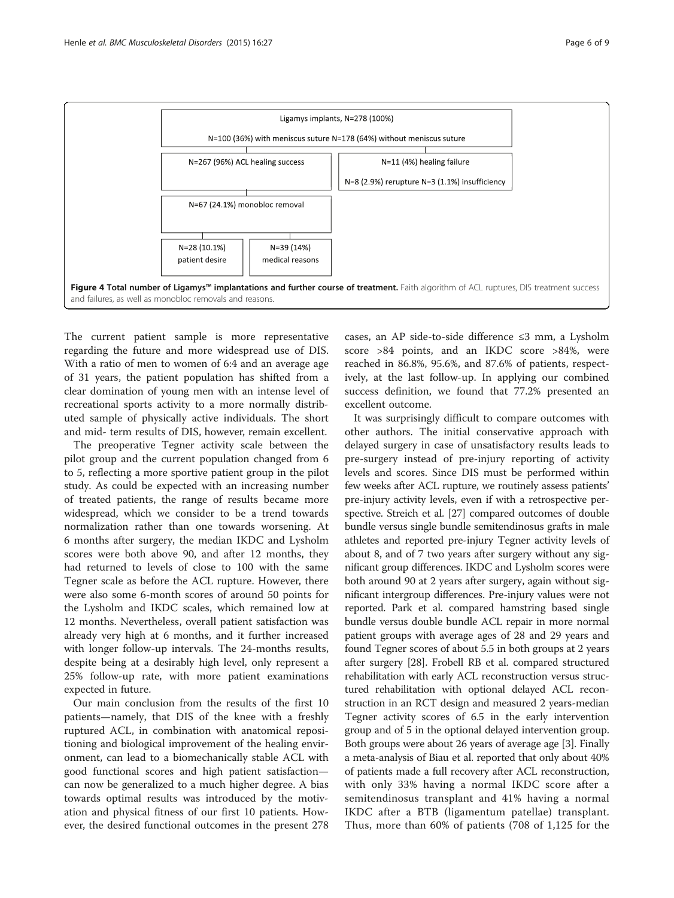

<span id="page-5-0"></span>

The current patient sample is more representative regarding the future and more widespread use of DIS. With a ratio of men to women of 6:4 and an average age of 31 years, the patient population has shifted from a clear domination of young men with an intense level of recreational sports activity to a more normally distributed sample of physically active individuals. The short and mid- term results of DIS, however, remain excellent.

The preoperative Tegner activity scale between the pilot group and the current population changed from 6 to 5, reflecting a more sportive patient group in the pilot study. As could be expected with an increasing number of treated patients, the range of results became more widespread, which we consider to be a trend towards normalization rather than one towards worsening. At 6 months after surgery, the median IKDC and Lysholm scores were both above 90, and after 12 months, they had returned to levels of close to 100 with the same Tegner scale as before the ACL rupture. However, there were also some 6-month scores of around 50 points for the Lysholm and IKDC scales, which remained low at 12 months. Nevertheless, overall patient satisfaction was already very high at 6 months, and it further increased with longer follow-up intervals. The 24-months results, despite being at a desirably high level, only represent a 25% follow-up rate, with more patient examinations expected in future.

Our main conclusion from the results of the first 10 patients—namely, that DIS of the knee with a freshly ruptured ACL, in combination with anatomical repositioning and biological improvement of the healing environment, can lead to a biomechanically stable ACL with good functional scores and high patient satisfaction can now be generalized to a much higher degree. A bias towards optimal results was introduced by the motivation and physical fitness of our first 10 patients. However, the desired functional outcomes in the present 278 cases, an AP side-to-side difference ≤3 mm, a Lysholm score >84 points, and an IKDC score >84%, were reached in 86.8%, 95.6%, and 87.6% of patients, respectively, at the last follow-up. In applying our combined success definition, we found that 77.2% presented an excellent outcome.

It was surprisingly difficult to compare outcomes with other authors. The initial conservative approach with delayed surgery in case of unsatisfactory results leads to pre-surgery instead of pre-injury reporting of activity levels and scores. Since DIS must be performed within few weeks after ACL rupture, we routinely assess patients' pre-injury activity levels, even if with a retrospective perspective. Streich et al. [\[27\]](#page-8-0) compared outcomes of double bundle versus single bundle semitendinosus grafts in male athletes and reported pre-injury Tegner activity levels of about 8, and of 7 two years after surgery without any significant group differences. IKDC and Lysholm scores were both around 90 at 2 years after surgery, again without significant intergroup differences. Pre-injury values were not reported. Park et al. compared hamstring based single bundle versus double bundle ACL repair in more normal patient groups with average ages of 28 and 29 years and found Tegner scores of about 5.5 in both groups at 2 years after surgery [\[28\]](#page-8-0). Frobell RB et al. compared structured rehabilitation with early ACL reconstruction versus structured rehabilitation with optional delayed ACL reconstruction in an RCT design and measured 2 years-median Tegner activity scores of 6.5 in the early intervention group and of 5 in the optional delayed intervention group. Both groups were about 26 years of average age [[3](#page-7-0)]. Finally a meta-analysis of Biau et al. reported that only about 40% of patients made a full recovery after ACL reconstruction, with only 33% having a normal IKDC score after a semitendinosus transplant and 41% having a normal IKDC after a BTB (ligamentum patellae) transplant. Thus, more than 60% of patients (708 of 1,125 for the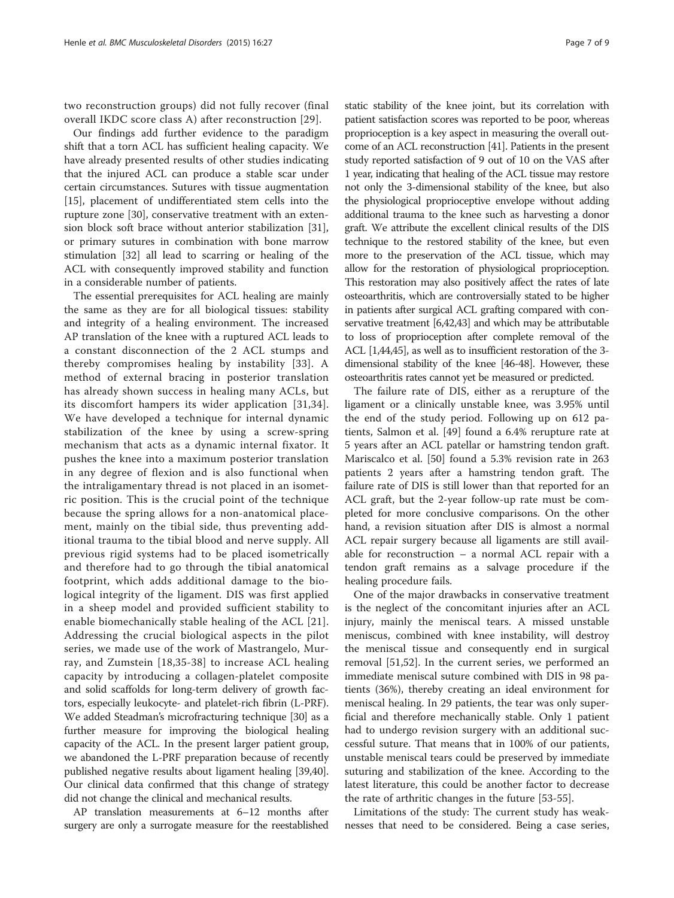two reconstruction groups) did not fully recover (final overall IKDC score class A) after reconstruction [\[29\]](#page-8-0).

Our findings add further evidence to the paradigm shift that a torn ACL has sufficient healing capacity. We have already presented results of other studies indicating that the injured ACL can produce a stable scar under certain circumstances. Sutures with tissue augmentation [[15\]](#page-7-0), placement of undifferentiated stem cells into the rupture zone [[30\]](#page-8-0), conservative treatment with an extension block soft brace without anterior stabilization [\[31](#page-8-0)], or primary sutures in combination with bone marrow stimulation [\[32\]](#page-8-0) all lead to scarring or healing of the ACL with consequently improved stability and function in a considerable number of patients.

The essential prerequisites for ACL healing are mainly the same as they are for all biological tissues: stability and integrity of a healing environment. The increased AP translation of the knee with a ruptured ACL leads to a constant disconnection of the 2 ACL stumps and thereby compromises healing by instability [[33\]](#page-8-0). A method of external bracing in posterior translation has already shown success in healing many ACLs, but its discomfort hampers its wider application [\[31,34](#page-8-0)]. We have developed a technique for internal dynamic stabilization of the knee by using a screw-spring mechanism that acts as a dynamic internal fixator. It pushes the knee into a maximum posterior translation in any degree of flexion and is also functional when the intraligamentary thread is not placed in an isometric position. This is the crucial point of the technique because the spring allows for a non-anatomical placement, mainly on the tibial side, thus preventing additional trauma to the tibial blood and nerve supply. All previous rigid systems had to be placed isometrically and therefore had to go through the tibial anatomical footprint, which adds additional damage to the biological integrity of the ligament. DIS was first applied in a sheep model and provided sufficient stability to enable biomechanically stable healing of the ACL [[21](#page-7-0)]. Addressing the crucial biological aspects in the pilot series, we made use of the work of Mastrangelo, Murray, and Zumstein [\[18,](#page-7-0)[35](#page-8-0)-[38](#page-8-0)] to increase ACL healing capacity by introducing a collagen-platelet composite and solid scaffolds for long-term delivery of growth factors, especially leukocyte- and platelet-rich fibrin (L-PRF). We added Steadman's microfracturing technique [\[30\]](#page-8-0) as a further measure for improving the biological healing capacity of the ACL. In the present larger patient group, we abandoned the L-PRF preparation because of recently published negative results about ligament healing [\[39,40](#page-8-0)]. Our clinical data confirmed that this change of strategy did not change the clinical and mechanical results.

AP translation measurements at 6–12 months after surgery are only a surrogate measure for the reestablished

static stability of the knee joint, but its correlation with patient satisfaction scores was reported to be poor, whereas proprioception is a key aspect in measuring the overall outcome of an ACL reconstruction [\[41\]](#page-8-0). Patients in the present study reported satisfaction of 9 out of 10 on the VAS after 1 year, indicating that healing of the ACL tissue may restore not only the 3-dimensional stability of the knee, but also the physiological proprioceptive envelope without adding additional trauma to the knee such as harvesting a donor graft. We attribute the excellent clinical results of the DIS technique to the restored stability of the knee, but even more to the preservation of the ACL tissue, which may allow for the restoration of physiological proprioception. This restoration may also positively affect the rates of late osteoarthritis, which are controversially stated to be higher in patients after surgical ACL grafting compared with conservative treatment [[6](#page-7-0)[,42,43](#page-8-0)] and which may be attributable to loss of proprioception after complete removal of the ACL [\[1,](#page-7-0)[44,45](#page-8-0)], as well as to insufficient restoration of the 3 dimensional stability of the knee [[46-48\]](#page-8-0). However, these osteoarthritis rates cannot yet be measured or predicted.

The failure rate of DIS, either as a rerupture of the ligament or a clinically unstable knee, was 3.95% until the end of the study period. Following up on 612 patients, Salmon et al. [[49\]](#page-8-0) found a 6.4% rerupture rate at 5 years after an ACL patellar or hamstring tendon graft. Mariscalco et al. [[50\]](#page-8-0) found a 5.3% revision rate in 263 patients 2 years after a hamstring tendon graft. The failure rate of DIS is still lower than that reported for an ACL graft, but the 2-year follow-up rate must be completed for more conclusive comparisons. On the other hand, a revision situation after DIS is almost a normal ACL repair surgery because all ligaments are still available for reconstruction – a normal ACL repair with a tendon graft remains as a salvage procedure if the healing procedure fails.

One of the major drawbacks in conservative treatment is the neglect of the concomitant injuries after an ACL injury, mainly the meniscal tears. A missed unstable meniscus, combined with knee instability, will destroy the meniscal tissue and consequently end in surgical removal [\[51,52](#page-8-0)]. In the current series, we performed an immediate meniscal suture combined with DIS in 98 patients (36%), thereby creating an ideal environment for meniscal healing. In 29 patients, the tear was only superficial and therefore mechanically stable. Only 1 patient had to undergo revision surgery with an additional successful suture. That means that in 100% of our patients, unstable meniscal tears could be preserved by immediate suturing and stabilization of the knee. According to the latest literature, this could be another factor to decrease the rate of arthritic changes in the future [[53-55](#page-8-0)].

Limitations of the study: The current study has weaknesses that need to be considered. Being a case series,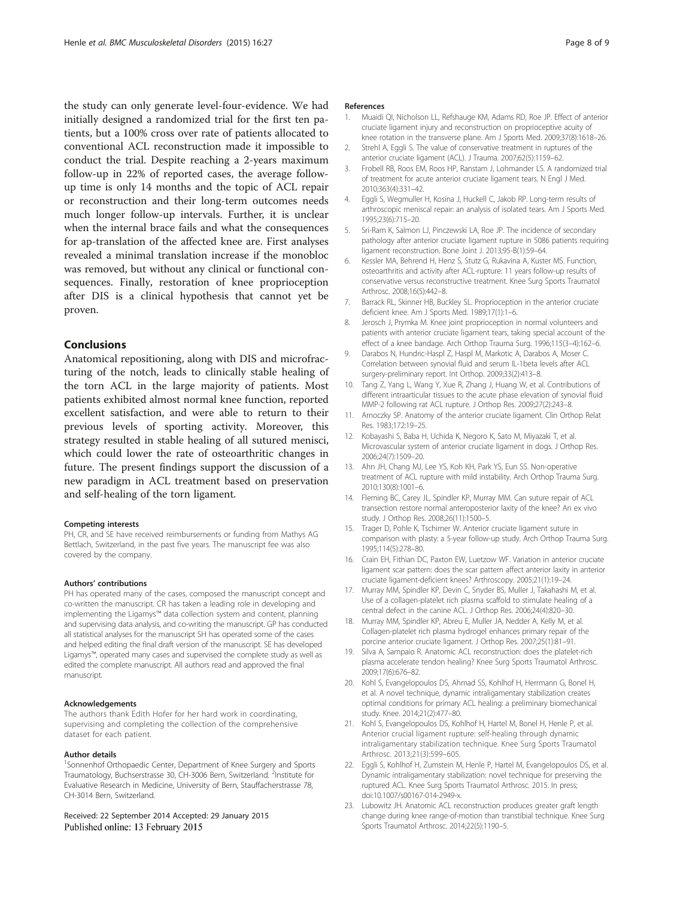<span id="page-7-0"></span>the study can only generate level-four-evidence. We had initially designed a randomized trial for the first ten patients, but a 100% cross over rate of patients allocated to conventional ACL reconstruction made it impossible to conduct the trial. Despite reaching a 2-years maximum follow-up in 22% of reported cases, the average followup time is only 14 months and the topic of ACL repair or reconstruction and their long-term outcomes needs much longer follow-up intervals. Further, it is unclear when the internal brace fails and what the consequences for ap-translation of the affected knee are. First analyses revealed a minimal translation increase if the monobloc was removed, but without any clinical or functional consequences. Finally, restoration of knee proprioception after DIS is a clinical hypothesis that cannot yet be proven.

#### Conclusions

Anatomical repositioning, along with DIS and microfracturing of the notch, leads to clinically stable healing of the torn ACL in the large majority of patients. Most patients exhibited almost normal knee function, reported excellent satisfaction, and were able to return to their previous levels of sporting activity. Moreover, this strategy resulted in stable healing of all sutured menisci, which could lower the rate of osteoarthritic changes in future. The present findings support the discussion of a new paradigm in ACL treatment based on preservation and self-healing of the torn ligament.

#### Competing interests

PH, CR, and SE have received reimbursements or funding from Mathys AG Bettlach, Switzerland, in the past five years. The manuscript fee was also covered by the company.

#### Authors' contributions

PH has operated many of the cases, composed the manuscript concept and co-written the manuscript. CR has taken a leading role in developing and implementing the Ligamys™ data collection system and content, planning and supervising data analysis, and co-writing the manuscript. GP has conducted all statistical analyses for the manuscript SH has operated some of the cases and helped editing the final draft version of the manuscript. SE has developed Ligamys™, operated many cases and supervised the complete study as well as edited the complete manuscript. All authors read and approved the final manuscript.

#### Acknowledgements

The authors thank Edith Hofer for her hard work in coordinating, supervising and completing the collection of the comprehensive dataset for each patient.

#### Author details

<sup>1</sup>Sonnenhof Orthopaedic Center, Department of Knee Surgery and Sports Traumatology, Buchserstrasse 30, CH-3006 Bern, Switzerland. <sup>2</sup>Institute for Evaluative Research in Medicine, University of Bern, Stauffacherstrasse 78, CH-3014 Bern, Switzerland.

Received: 22 September 2014 Accepted: 29 January 2015 Published online: 13 February 2015

#### References

- 1. Muaidi QI, Nicholson LL, Refshauge KM, Adams RD, Roe JP. Effect of anterior cruciate ligament injury and reconstruction on proprioceptive acuity of knee rotation in the transverse plane. Am J Sports Med. 2009;37(8):1618–26.
- 2. Strehl A, Eggli S. The value of conservative treatment in ruptures of the anterior cruciate ligament (ACL). J Trauma. 2007;62(5):1159–62.
- 3. Frobell RB, Roos EM, Roos HP, Ranstam J, Lohmander LS. A randomized trial of treatment for acute anterior cruciate ligament tears. N Engl J Med. 2010;363(4):331–42.
- 4. Eggli S, Wegmuller H, Kosina J, Huckell C, Jakob RP. Long-term results of arthroscopic meniscal repair: an analysis of isolated tears. Am J Sports Med. 1995;23(6):715–20.
- 5. Sri-Ram K, Salmon LJ, Pinczewski LA, Roe JP. The incidence of secondary pathology after anterior cruciate ligament rupture in 5086 patients requiring ligament reconstruction. Bone Joint J. 2013;95-B(1):59–64.
- 6. Kessler MA, Behrend H, Henz S, Stutz G, Rukavina A, Kuster MS. Function, osteoarthritis and activity after ACL-rupture: 11 years follow-up results of conservative versus reconstructive treatment. Knee Surg Sports Traumatol Arthrosc. 2008;16(5):442–8.
- 7. Barrack RL, Skinner HB, Buckley SL. Proprioception in the anterior cruciate deficient knee. Am J Sports Med. 1989;17(1):1–6.
- 8. Jerosch J, Prymka M. Knee joint proprioception in normal volunteers and patients with anterior cruciate ligament tears, taking special account of the effect of a knee bandage. Arch Orthop Trauma Surg. 1996;115(3–4):162–6.
- 9. Darabos N, Hundric-Haspl Z, Haspl M, Markotic A, Darabos A, Moser C. Correlation between synovial fluid and serum IL-1beta levels after ACL surgery-preliminary report. Int Orthop. 2009;33(2):413–8.
- 10. Tang Z, Yang L, Wang Y, Xue R, Zhang J, Huang W, et al. Contributions of different intraarticular tissues to the acute phase elevation of synovial fluid MMP-2 following rat ACL rupture. J Orthop Res. 2009;27(2):243–8.
- 11. Arnoczky SP. Anatomy of the anterior cruciate ligament. Clin Orthop Relat Res. 1983;172:19–25.
- 12. Kobayashi S, Baba H, Uchida K, Negoro K, Sato M, Miyazaki T, et al. Microvascular system of anterior cruciate ligament in dogs. J Orthop Res. 2006;24(7):1509–20.
- 13. Ahn JH, Chang MJ, Lee YS, Koh KH, Park YS, Eun SS. Non-operative treatment of ACL rupture with mild instability. Arch Orthop Trauma Surg. 2010;130(8):1001–6.
- 14. Fleming BC, Carey JL, Spindler KP, Murray MM. Can suture repair of ACL transection restore normal anteroposterior laxity of the knee? An ex vivo study. J Orthop Res. 2008;26(11):1500–5.
- 15. Trager D, Pohle K, Tschirner W. Anterior cruciate ligament suture in comparison with plasty: a 5-year follow-up study. Arch Orthop Trauma Surg. 1995;114(5):278–80.
- 16. Crain EH, Fithian DC, Paxton EW, Luetzow WF. Variation in anterior cruciate ligament scar pattern: does the scar pattern affect anterior laxity in anterior cruciate ligament-deficient knees? Arthroscopy. 2005;21(1):19–24.
- 17. Murray MM, Spindler KP, Devin C, Snyder BS, Muller J, Takahashi M, et al. Use of a collagen-platelet rich plasma scaffold to stimulate healing of a central defect in the canine ACL. J Orthop Res. 2006;24(4):820–30.
- 18. Murray MM, Spindler KP, Abreu E, Muller JA, Nedder A, Kelly M, et al. Collagen-platelet rich plasma hydrogel enhances primary repair of the porcine anterior cruciate ligament. J Orthop Res. 2007;25(1):81–91.
- 19. Silva A, Sampaio R. Anatomic ACL reconstruction: does the platelet-rich plasma accelerate tendon healing? Knee Surg Sports Traumatol Arthrosc. 2009;17(6):676–82.
- 20. Kohl S, Evangelopoulos DS, Ahmad SS, Kohlhof H, Herrmann G, Bonel H, et al. A novel technique, dynamic intraligamentary stabilization creates optimal conditions for primary ACL healing: a preliminary biomechanical study. Knee. 2014;21(2):477–80.
- 21. Kohl S, Evangelopoulos DS, Kohlhof H, Hartel M, Bonel H, Henle P, et al. Anterior crucial ligament rupture: self-healing through dynamic intraligamentary stabilization technique. Knee Surg Sports Traumatol Arthrosc. 2013;21(3):599–605.
- 22. Eggli S, Kohlhof H, Zumstein M, Henle P, Hartel M, Evangelopoulos DS, et al. Dynamic intraligamentary stabilization: novel technique for preserving the ruptured ACL. Knee Surg Sports Traumatol Arthrosc. 2015. In press; doi:10.1007/s00167-014-2949-x.
- 23. Lubowitz JH. Anatomic ACL reconstruction produces greater graft length change during knee range-of-motion than transtibial technique. Knee Surg Sports Traumatol Arthrosc. 2014;22(5):1190–5.